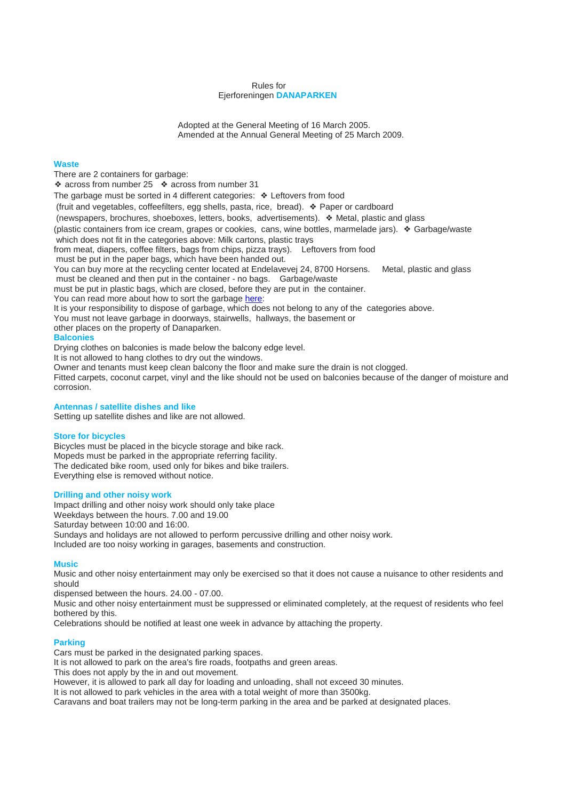#### Rules for Ejerforeningen **DANAPARKEN**

Adopted at the General Meeting of 16 March 2005. Amended at the Annual General Meeting of 25 March 2009.

# **Waste**

There are 2 containers for garbage:

❖ across from number 25  $\bullet$  across from number 31

The garbage must be sorted in 4 different categories: ❖ Leftovers from food

(fruit and vegetables, coffeefilters, egg shells, pasta, rice, bread). ❖ Paper or cardboard

(newspapers, brochures, shoeboxes, letters, books, advertisements). ❖ Metal, plastic and glass

(plastic containers from ice cream, grapes or cookies, cans, wine bottles, marmelade jars). ❖ Garbage/waste

which does not fit in the categories above: Milk cartons, plastic trays

from meat, diapers, coffee filters, bags from chips, pizza trays). Leftovers from food

must be put in the paper bags, which have been handed out.

You can buy more at the recycling center located at Endelavevej 24, 8700 Horsens. Metal, plastic and glass must be cleaned and then put in the container - no bags. Garbage/waste

must be put in plastic bags, which are closed, before they are put in the container.

You can read more about how to sort the garbage [here:](http://dana-p.web03.itlh.dk/wp-content/uploads/2016/01/danaparken_70859926.pdf)

It is your responsibility to dispose of garbage, which does not belong to any of the categories above.

You must not leave garbage in doorways, stairwells, hallways, the basement or

other places on the property of Danaparken.

## **Balconies**

Drying clothes on balconies is made below the balcony edge level.

It is not allowed to hang clothes to dry out the windows.

Owner and tenants must keep clean balcony the floor and make sure the drain is not clogged.

Fitted carpets, coconut carpet, vinyl and the like should not be used on balconies because of the danger of moisture and corrosion.

## **Antennas / satellite dishes and like**

Setting up satellite dishes and like are not allowed.

# **Store for bicycles**

Bicycles must be placed in the bicycle storage and bike rack. Mopeds must be parked in the appropriate referring facility. The dedicated bike room, used only for bikes and bike trailers. Everything else is removed without notice.

## **Drilling and other noisy work**

Impact drilling and other noisy work should only take place Weekdays between the hours. 7.00 and 19.00 Saturday between 10:00 and 16:00. Sundays and holidays are not allowed to perform percussive drilling and other noisy work. Included are too noisy working in garages, basements and construction.

## **Music**

Music and other noisy entertainment may only be exercised so that it does not cause a nuisance to other residents and should

dispensed between the hours. 24.00 - 07.00.

Music and other noisy entertainment must be suppressed or eliminated completely, at the request of residents who feel bothered by this.

Celebrations should be notified at least one week in advance by attaching the property.

## **Parking**

Cars must be parked in the designated parking spaces.

It is not allowed to park on the area's fire roads, footpaths and green areas.

This does not apply by the in and out movement.

However, it is allowed to park all day for loading and unloading, shall not exceed 30 minutes.

It is not allowed to park vehicles in the area with a total weight of more than 3500kg.

Caravans and boat trailers may not be long-term parking in the area and be parked at designated places.